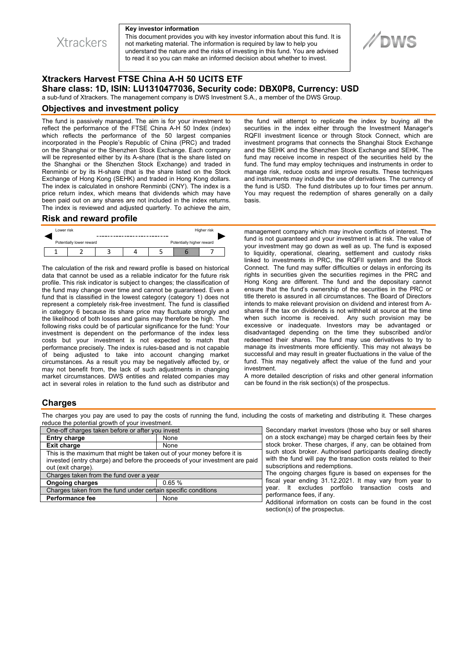**Xtrackers** 

#### **Key investor information**

This document provides you with key investor information about this fund. It is not marketing material. The information is required by law to help you understand the nature and the risks of investing in this fund. You are advised to read it so you can make an informed decision about whether to invest.

# **Xtrackers Harvest FTSE China A-H 50 UCITS ETF Share class: 1D, ISIN: LU1310477036, Security code: DBX0P8, Currency: USD**

a sub-fund of Xtrackers. The management company is DWS Investment S.A., a member of the DWS Group.

### **Objectives and investment policy**

The fund is passively managed. The aim is for your investment to reflect the performance of the FTSE China A-H 50 Index (index) which reflects the performance of the 50 largest companies incorporated in the People's Republic of China (PRC) and traded on the Shanghai or the Shenzhen Stock Exchange. Each company will be represented either by its A-share (that is the share listed on the Shanghai or the Shenzhen Stock Exchange) and traded in Renminbi or by its H-share (that is the share listed on the Stock Exchange of Hong Kong (SEHK) and traded in Hong Kong dollars. The index is calculated in onshore Renminbi (CNY). The index is a price return index, which means that dividends which may have been paid out on any shares are not included in the index returns. The index is reviewed and adjusted quarterly. To achieve the aim,

the fund will attempt to replicate the index by buying all the securities in the index either through the Investment Manager's RQFII investment licence or through Stock Connect, which are investment programs that connects the Shanghai Stock Exchange and the SEHK and the Shenzhen Stock Exchange and SEHK. The fund may receive income in respect of the securities held by the fund. The fund may employ techniques and instruments in order to manage risk, reduce costs and improve results. These techniques and instruments may include the use of derivatives. The currency of the fund is USD. The fund distributes up to four times per annum. You may request the redemption of shares generally on a daily basis.

**//DWS** 

#### **Risk and reward profile**

| Lower risk               |  |  |  |                           | Higher risk |  |
|--------------------------|--|--|--|---------------------------|-------------|--|
| Potentially lower reward |  |  |  | Potentially higher reward |             |  |
|                          |  |  |  |                           |             |  |

The calculation of the risk and reward profile is based on historical data that cannot be used as a reliable indicator for the future risk profile. This risk indicator is subject to changes; the classification of the fund may change over time and cannot be guaranteed. Even a fund that is classified in the lowest category (category 1) does not represent a completely risk-free investment. The fund is classified in category 6 because its share price may fluctuate strongly and the likelihood of both losses and gains may therefore be high. The following risks could be of particular significance for the fund: Your investment is dependent on the performance of the index less costs but your investment is not expected to match that performance precisely. The index is rules-based and is not capable of being adjusted to take into account changing market circumstances. As a result you may be negatively affected by, or may not benefit from, the lack of such adjustments in changing market circumstances. DWS entities and related companies may act in several roles in relation to the fund such as distributor and management company which may involve conflicts of interest. The fund is not guaranteed and your investment is at risk. The value of your investment may go down as well as up. The fund is exposed to liquidity, operational, clearing, settlement and custody risks linked to investments in PRC, the RQFII system and the Stock Connect. The fund may suffer difficulties or delays in enforcing its rights in securities given the securities regimes in the PRC and Hong Kong are different. The fund and the depositary cannot ensure that the fund's ownership of the securities in the PRC or title thereto is assured in all circumstances. The Board of Directors intends to make relevant provision on dividend and interest from Ashares if the tax on dividends is not withheld at source at the time when such income is received. Any such provision may be excessive or inadequate. Investors may be advantaged or disadvantaged depending on the time they subscribed and/or redeemed their shares. The fund may use derivatives to try to manage its investments more efficiently. This may not always be successful and may result in greater fluctuations in the value of the fund. This may negatively affect the value of the fund and your investment.

A more detailed description of risks and other general information can be found in the risk section(s) of the prospectus.

## **Charges**

The charges you pay are used to pay the costs of running the fund, including the costs of marketing and distributing it. These charges reduce the potential growth of your investment.

| One-off charges taken before or after you invest                                                                                                                            |       |  |  |  |  |
|-----------------------------------------------------------------------------------------------------------------------------------------------------------------------------|-------|--|--|--|--|
| <b>Entry charge</b>                                                                                                                                                         | None  |  |  |  |  |
| <b>Exit charge</b>                                                                                                                                                          | None  |  |  |  |  |
| This is the maximum that might be taken out of your money before it is<br>invested (entry charge) and before the proceeds of your investment are paid<br>out (exit charge). |       |  |  |  |  |
| Charges taken from the fund over a year                                                                                                                                     |       |  |  |  |  |
| <b>Ongoing charges</b>                                                                                                                                                      | 0.65% |  |  |  |  |
| Charges taken from the fund under certain specific conditions                                                                                                               |       |  |  |  |  |
| <b>Performance fee</b>                                                                                                                                                      | None  |  |  |  |  |
|                                                                                                                                                                             |       |  |  |  |  |

Secondary market investors (those who buy or sell shares on a stock exchange) may be charged certain fees by their stock broker. These charges, if any, can be obtained from such stock broker. Authorised participants dealing directly with the fund will pay the transaction costs related to their subscriptions and redemptions.

The ongoing charges figure is based on expenses for the fiscal year ending 31.12.2021. It may vary from year to year. It excludes portfolio transaction costs and performance fees, if any.

Additional information on costs can be found in the cost section(s) of the prospectus.